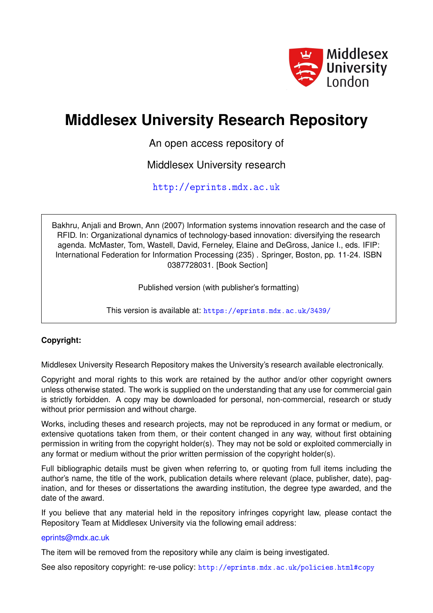

# **Middlesex University Research Repository**

An open access repository of

Middlesex University research

<http://eprints.mdx.ac.uk>

Bakhru, Anjali and Brown, Ann (2007) Information systems innovation research and the case of RFID. In: Organizational dynamics of technology-based innovation: diversifying the research agenda. McMaster, Tom, Wastell, David, Ferneley, Elaine and DeGross, Janice I., eds. IFIP: International Federation for Information Processing (235) . Springer, Boston, pp. 11-24. ISBN 0387728031. [Book Section]

Published version (with publisher's formatting)

This version is available at: <https://eprints.mdx.ac.uk/3439/>

## **Copyright:**

Middlesex University Research Repository makes the University's research available electronically.

Copyright and moral rights to this work are retained by the author and/or other copyright owners unless otherwise stated. The work is supplied on the understanding that any use for commercial gain is strictly forbidden. A copy may be downloaded for personal, non-commercial, research or study without prior permission and without charge.

Works, including theses and research projects, may not be reproduced in any format or medium, or extensive quotations taken from them, or their content changed in any way, without first obtaining permission in writing from the copyright holder(s). They may not be sold or exploited commercially in any format or medium without the prior written permission of the copyright holder(s).

Full bibliographic details must be given when referring to, or quoting from full items including the author's name, the title of the work, publication details where relevant (place, publisher, date), pagination, and for theses or dissertations the awarding institution, the degree type awarded, and the date of the award.

If you believe that any material held in the repository infringes copyright law, please contact the Repository Team at Middlesex University via the following email address:

## [eprints@mdx.ac.uk](mailto:eprints@mdx.ac.uk)

The item will be removed from the repository while any claim is being investigated.

See also repository copyright: re-use policy: <http://eprints.mdx.ac.uk/policies.html#copy>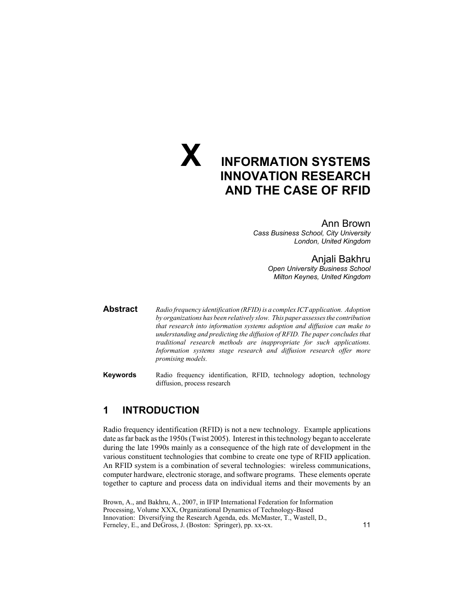# **X INFORMATION SYSTEMS INNOVATION RESEARCH AND THE CASE OF RFID**

#### Ann Brown

*Cass Business School, City University London, United Kingdom*

> Anjali Bakhru *Open University Business School Milton Keynes, United Kingdom*

**Abstract** *Radio frequency identification (RFID) is a complex ICT application. Adoption by organizations has been relatively slow. This paper assesses the contribution that research into information systems adoption and diffusion can make to understanding and predicting the diffusion of RFID. The paper concludes that traditional research methods are inappropriate for such applications. Information systems stage research and diffusion research offer more promising models.*

**Keywords** Radio frequency identification, RFID, technology adoption, technology diffusion, process research

## **1 INTRODUCTION**

Radio frequency identification (RFID) is not a new technology. Example applications date as far back as the 1950s (Twist 2005). Interest in this technology began to accelerate during the late 1990s mainly as a consequence of the high rate of development in the various constituent technologies that combine to create one type of RFID application. An RFID system is a combination of several technologies: wireless communications, computer hardware, electronic storage, and software programs. These elements operate together to capture and process data on individual items and their movements by an

Brown, A., and Bakhru, A., 2007, in IFIP International Federation for Information Processing, Volume XXX, Organizational Dynamics of Technology-Based Innovation: Diversifying the Research Agenda, eds. McMaster, T., Wastell, D., Ferneley, E., and DeGross, J. (Boston: Springer), pp. xx-xx. 11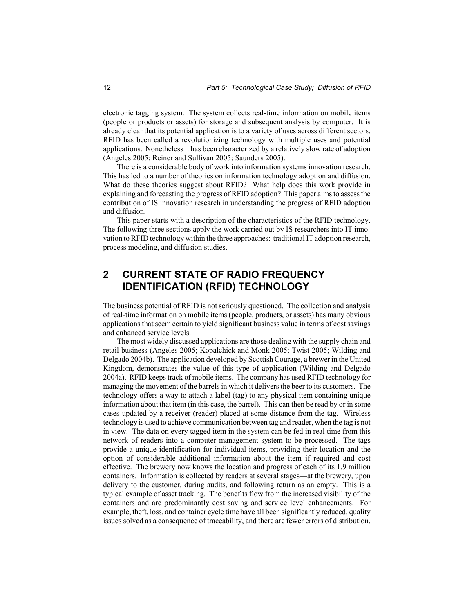electronic tagging system. The system collects real-time information on mobile items (people or products or assets) for storage and subsequent analysis by computer. It is already clear that its potential application is to a variety of uses across different sectors. RFID has been called a revolutionizing technology with multiple uses and potential applications. Nonetheless it has been characterized by a relatively slow rate of adoption (Angeles 2005; Reiner and Sullivan 2005; Saunders 2005).

There is a considerable body of work into information systems innovation research. This has led to a number of theories on information technology adoption and diffusion. What do these theories suggest about RFID? What help does this work provide in explaining and forecasting the progress of RFID adoption? This paper aims to assess the contribution of IS innovation research in understanding the progress of RFID adoption and diffusion.

This paper starts with a description of the characteristics of the RFID technology. The following three sections apply the work carried out by IS researchers into IT innovation to RFID technology within the three approaches: traditional IT adoption research, process modeling, and diffusion studies.

## **2 CURRENT STATE OF RADIO FREQUENCY IDENTIFICATION (RFID) TECHNOLOGY**

The business potential of RFID is not seriously questioned. The collection and analysis of real-time information on mobile items (people, products, or assets) has many obvious applications that seem certain to yield significant business value in terms of cost savings and enhanced service levels.

The most widely discussed applications are those dealing with the supply chain and retail business (Angeles 2005; Kopalchick and Monk 2005; Twist 2005; Wilding and Delgado 2004b). The application developed by Scottish Courage, a brewer in the United Kingdom, demonstrates the value of this type of application (Wilding and Delgado 2004a). RFID keeps track of mobile items. The company has used RFID technology for managing the movement of the barrels in which it delivers the beer to its customers. The technology offers a way to attach a label (tag) to any physical item containing unique information about that item (in this case, the barrel). This can then be read by or in some cases updated by a receiver (reader) placed at some distance from the tag. Wireless technology is used to achieve communication between tag and reader, when the tag is not in view. The data on every tagged item in the system can be fed in real time from this network of readers into a computer management system to be processed. The tags provide a unique identification for individual items, providing their location and the option of considerable additional information about the item if required and cost effective. The brewery now knows the location and progress of each of its 1.9 million containers. Information is collected by readers at several stages—at the brewery, upon delivery to the customer, during audits, and following return as an empty. This is a typical example of asset tracking. The benefits flow from the increased visibility of the containers and are predominantly cost saving and service level enhancements. For example, theft, loss, and container cycle time have all been significantly reduced, quality issues solved as a consequence of traceability, and there are fewer errors of distribution.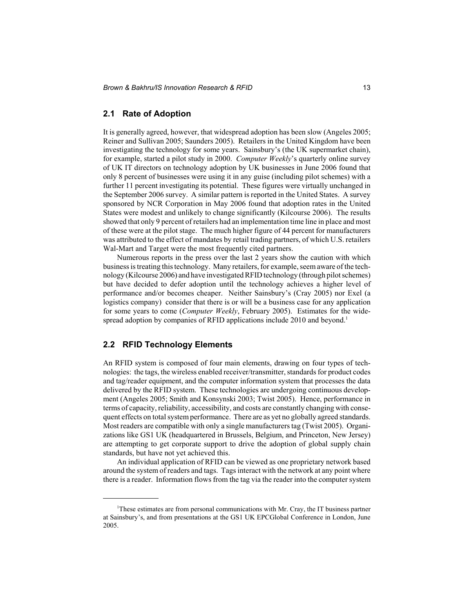#### **2.1 Rate of Adoption**

It is generally agreed, however, that widespread adoption has been slow (Angeles 2005; Reiner and Sullivan 2005; Saunders 2005). Retailers in the United Kingdom have been investigating the technology for some years. Sainsbury's (the UK supermarket chain), for example, started a pilot study in 2000. *Computer Weekly*'s quarterly online survey of UK IT directors on technology adoption by UK businesses in June 2006 found that only 8 percent of businesses were using it in any guise (including pilot schemes) with a further 11 percent investigating its potential. These figures were virtually unchanged in the September 2006 survey. A similar pattern is reported in the United States. A survey sponsored by NCR Corporation in May 2006 found that adoption rates in the United States were modest and unlikely to change significantly (Kilcourse 2006). The results showed that only 9 percent of retailers had an implementation time line in place and most of these were at the pilot stage. The much higher figure of 44 percent for manufacturers was attributed to the effect of mandates by retail trading partners, of which U.S. retailers Wal-Mart and Target were the most frequently cited partners.

Numerous reports in the press over the last 2 years show the caution with which business is treating this technology. Many retailers, for example, seem aware of the technology (Kilcourse 2006) and have investigated RFID technology (through pilot schemes) but have decided to defer adoption until the technology achieves a higher level of performance and/or becomes cheaper. Neither Sainsbury's (Cray 2005) nor Exel (a logistics company) consider that there is or will be a business case for any application for some years to come (*Computer Weekly*, February 2005). Estimates for the widespread adoption by companies of RFID applications include 2010 and beyond.<sup>1</sup>

#### **2.2 RFID Technology Elements**

An RFID system is composed of four main elements, drawing on four types of technologies: the tags, the wireless enabled receiver/transmitter, standards for product codes and tag/reader equipment, and the computer information system that processes the data delivered by the RFID system. These technologies are undergoing continuous development (Angeles 2005; Smith and Konsynski 2003; Twist 2005). Hence, performance in terms of capacity, reliability, accessibility, and costs are constantly changing with consequent effects on total system performance. There are as yet no globally agreed standards. Most readers are compatible with only a single manufacturers tag (Twist 2005). Organizations like GS1 UK (headquartered in Brussels, Belgium, and Princeton, New Jersey) are attempting to get corporate support to drive the adoption of global supply chain standards, but have not yet achieved this.

An individual application of RFID can be viewed as one proprietary network based around the system of readers and tags. Tags interact with the network at any point where there is a reader. Information flows from the tag via the reader into the computer system

<sup>&</sup>lt;sup>1</sup>These estimates are from personal communications with Mr. Cray, the IT business partner at Sainsbury's, and from presentations at the GS1 UK EPCGlobal Conference in London, June 2005.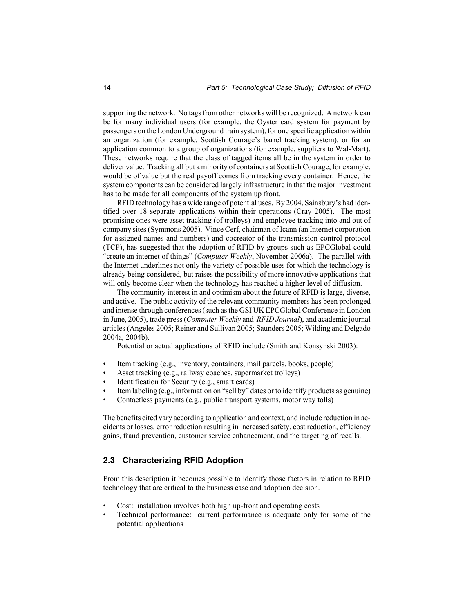supporting the network. No tags from other networks will be recognized. A network can be for many individual users (for example, the Oyster card system for payment by passengers on the London Underground train system), for one specific application within an organization (for example, Scottish Courage's barrel tracking system), or for an application common to a group of organizations (for example, suppliers to Wal-Mart). These networks require that the class of tagged items all be in the system in order to deliver value. Tracking all but a minority of containers at Scottish Courage, for example, would be of value but the real payoff comes from tracking every container. Hence, the system components can be considered largely infrastructure in that the major investment has to be made for all components of the system up front.

RFID technology has a wide range of potential uses. By 2004, Sainsbury's had identified over 18 separate applications within their operations (Cray 2005). The most promising ones were asset tracking (of trolleys) and employee tracking into and out of company sites (Symmons 2005). Vince Cerf, chairman of Icann (an Internet corporation for assigned names and numbers) and cocreator of the transmission control protocol (TCP), has suggested that the adoption of RFID by groups such as EPCGlobal could "create an internet of things" (*Computer Weekly*, November 2006a). The parallel with the Internet underlines not only the variety of possible uses for which the technology is already being considered, but raises the possibility of more innovative applications that will only become clear when the technology has reached a higher level of diffusion.

The community interest in and optimism about the future of RFID is large, diverse, and active. The public activity of the relevant community members has been prolonged and intense through conferences (such as the GSI UK EPCGlobal Conference in London in June, 2005), trade press (*Computer Weekly* and *RFID Journal*), and academic journal articles (Angeles 2005; Reiner and Sullivan 2005; Saunders 2005; Wilding and Delgado 2004a, 2004b).

Potential or actual applications of RFID include (Smith and Konsynski 2003):

- Item tracking (e.g., inventory, containers, mail parcels, books, people)
- Asset tracking (e.g., railway coaches, supermarket trolleys)
- Identification for Security (e.g., smart cards)
- Item labeling (e.g., information on "sell by" dates or to identify products as genuine)
- Contactless payments (e.g., public transport systems, motor way tolls)

The benefits cited vary according to application and context, and include reduction in accidents or losses, error reduction resulting in increased safety, cost reduction, efficiency gains, fraud prevention, customer service enhancement, and the targeting of recalls.

#### **2.3 Characterizing RFID Adoption**

From this description it becomes possible to identify those factors in relation to RFID technology that are critical to the business case and adoption decision.

- Cost: installation involves both high up-front and operating costs
- Technical performance: current performance is adequate only for some of the potential applications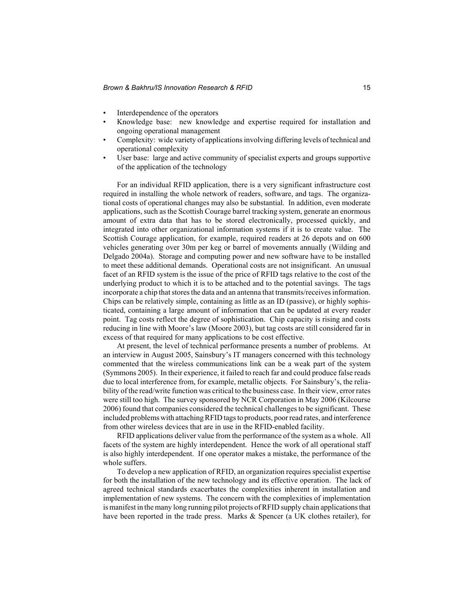- Interdependence of the operators
- Knowledge base: new knowledge and expertise required for installation and ongoing operational management
- Complexity: wide variety of applications involving differing levels of technical and operational complexity
- User base: large and active community of specialist experts and groups supportive of the application of the technology

For an individual RFID application, there is a very significant infrastructure cost required in installing the whole network of readers, software, and tags. The organizational costs of operational changes may also be substantial. In addition, even moderate applications, such as the Scottish Courage barrel tracking system, generate an enormous amount of extra data that has to be stored electronically, processed quickly, and integrated into other organizational information systems if it is to create value. The Scottish Courage application, for example, required readers at 26 depots and on 600 vehicles generating over 30m per keg or barrel of movements annually (Wilding and Delgado 2004a). Storage and computing power and new software have to be installed to meet these additional demands. Operational costs are not insignificant. An unusual facet of an RFID system is the issue of the price of RFID tags relative to the cost of the underlying product to which it is to be attached and to the potential savings. The tags incorporate a chip that stores the data and an antenna that transmits/receives information. Chips can be relatively simple, containing as little as an ID (passive), or highly sophisticated, containing a large amount of information that can be updated at every reader point. Tag costs reflect the degree of sophistication. Chip capacity is rising and costs reducing in line with Moore's law (Moore 2003), but tag costs are still considered far in excess of that required for many applications to be cost effective.

At present, the level of technical performance presents a number of problems. At an interview in August 2005, Sainsbury's IT managers concerned with this technology commented that the wireless communications link can be a weak part of the system (Symmons 2005). In their experience, it failed to reach far and could produce false reads due to local interference from, for example, metallic objects. For Sainsbury's, the reliability of the read/write function was critical to the business case. In their view, error rates were still too high. The survey sponsored by NCR Corporation in May 2006 (Kilcourse 2006) found that companies considered the technical challenges to be significant. These included problems with attaching RFID tags to products, poor read rates, and interference from other wireless devices that are in use in the RFID-enabled facility.

RFID applications deliver value from the performance of the system as a whole. All facets of the system are highly interdependent. Hence the work of all operational staff is also highly interdependent. If one operator makes a mistake, the performance of the whole suffers.

To develop a new application of RFID, an organization requires specialist expertise for both the installation of the new technology and its effective operation. The lack of agreed technical standards exacerbates the complexities inherent in installation and implementation of new systems. The concern with the complexities of implementation is manifest in the many long running pilot projects of RFID supply chain applications that have been reported in the trade press. Marks & Spencer (a UK clothes retailer), for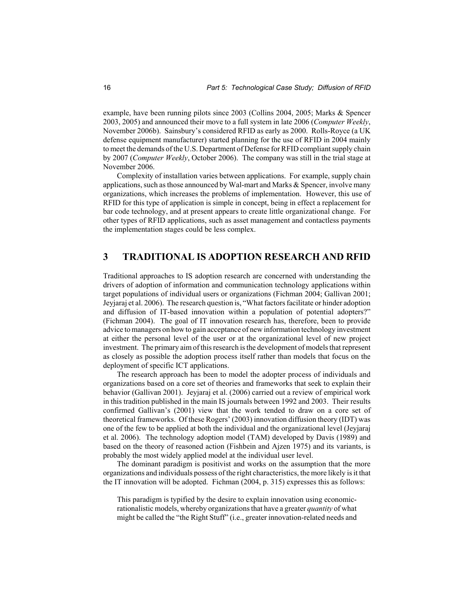example, have been running pilots since 2003 (Collins 2004, 2005; Marks & Spencer 2003, 2005) and announced their move to a full system in late 2006 (*Computer Weekly*, November 2006b). Sainsbury's considered RFID as early as 2000. Rolls-Royce (a UK defense equipment manufacturer) started planning for the use of RFID in 2004 mainly to meet the demands of the U.S. Department of Defense for RFID compliant supply chain by 2007 (*Computer Weekly*, October 2006). The company was still in the trial stage at November 2006.

Complexity of installation varies between applications. For example, supply chain applications, such as those announced by Wal-mart and Marks & Spencer, involve many organizations, which increases the problems of implementation. However, this use of RFID for this type of application is simple in concept, being in effect a replacement for bar code technology, and at present appears to create little organizational change. For other types of RFID applications, such as asset management and contactless payments the implementation stages could be less complex.

## **3 TRADITIONAL IS ADOPTION RESEARCH AND RFID**

Traditional approaches to IS adoption research are concerned with understanding the drivers of adoption of information and communication technology applications within target populations of individual users or organizations (Fichman 2004; Gallivan 2001; Jeyjaraj et al. 2006). The research question is, "What factors facilitate or hinder adoption and diffusion of IT-based innovation within a population of potential adopters?" (Fichman 2004). The goal of IT innovation research has, therefore, been to provide advice to managers on how to gain acceptance of new information technology investment at either the personal level of the user or at the organizational level of new project investment. The primary aim of this research is the development of models that represent as closely as possible the adoption process itself rather than models that focus on the deployment of specific ICT applications.

The research approach has been to model the adopter process of individuals and organizations based on a core set of theories and frameworks that seek to explain their behavior (Gallivan 2001). Jeyjaraj et al. (2006) carried out a review of empirical work in this tradition published in the main IS journals between 1992 and 2003. Their results confirmed Gallivan's (2001) view that the work tended to draw on a core set of theoretical frameworks. Of these Rogers' (2003) innovation diffusion theory (IDT) was one of the few to be applied at both the individual and the organizational level (Jeyjaraj et al. 2006). The technology adoption model (TAM) developed by Davis (1989) and based on the theory of reasoned action (Fishbein and Ajzen 1975) and its variants, is probably the most widely applied model at the individual user level.

The dominant paradigm is positivist and works on the assumption that the more organizations and individuals possess of the right characteristics, the more likely is it that the IT innovation will be adopted. Fichman (2004, p. 315) expresses this as follows:

This paradigm is typified by the desire to explain innovation using economicrationalistic models, whereby organizations that have a greater *quantity* of what might be called the "the Right Stuff" (i.e., greater innovation-related needs and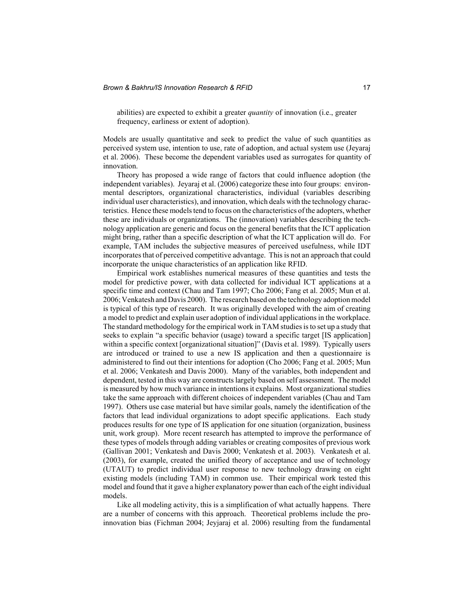abilities) are expected to exhibit a greater *quantity* of innovation (i.e., greater frequency, earliness or extent of adoption).

Models are usually quantitative and seek to predict the value of such quantities as perceived system use, intention to use, rate of adoption, and actual system use (Jeyaraj et al. 2006). These become the dependent variables used as surrogates for quantity of innovation.

Theory has proposed a wide range of factors that could influence adoption (the independent variables). Jeyaraj et al. (2006) categorize these into four groups: environmental descriptors, organizational characteristics, individual (variables describing individual user characteristics), and innovation, which deals with the technology characteristics. Hence these models tend to focus on the characteristics of the adopters, whether these are individuals or organizations. The (innovation) variables describing the technology application are generic and focus on the general benefits that the ICT application might bring, rather than a specific description of what the ICT application will do. For example, TAM includes the subjective measures of perceived usefulness, while IDT incorporates that of perceived competitive advantage. This is not an approach that could incorporate the unique characteristics of an application like RFID.

Empirical work establishes numerical measures of these quantities and tests the model for predictive power, with data collected for individual ICT applications at a specific time and context (Chau and Tam 1997; Cho 2006; Fang et al. 2005; Mun et al. 2006; Venkatesh and Davis 2000). The research based on the technology adoption model is typical of this type of research. It was originally developed with the aim of creating a model to predict and explain user adoption of individual applications in the workplace. The standard methodology for the empirical work in TAM studies is to set up a study that seeks to explain "a specific behavior (usage) toward a specific target [IS application] within a specific context [organizational situation]" (Davis et al. 1989). Typically users are introduced or trained to use a new IS application and then a questionnaire is administered to find out their intentions for adoption (Cho 2006; Fang et al. 2005; Mun et al. 2006; Venkatesh and Davis 2000). Many of the variables, both independent and dependent, tested in this way are constructs largely based on self assessment. The model is measured by how much variance in intentions it explains. Most organizational studies take the same approach with different choices of independent variables (Chau and Tam 1997). Others use case material but have similar goals, namely the identification of the factors that lead individual organizations to adopt specific applications. Each study produces results for one type of IS application for one situation (organization, business unit, work group). More recent research has attempted to improve the performance of these types of models through adding variables or creating composites of previous work (Gallivan 2001; Venkatesh and Davis 2000; Venkatesh et al. 2003). Venkatesh et al. (2003), for example, created the unified theory of acceptance and use of technology (UTAUT) to predict individual user response to new technology drawing on eight existing models (including TAM) in common use. Their empirical work tested this model and found that it gave a higher explanatory power than each of the eight individual models.

Like all modeling activity, this is a simplification of what actually happens. There are a number of concerns with this approach. Theoretical problems include the proinnovation bias (Fichman 2004; Jeyjaraj et al. 2006) resulting from the fundamental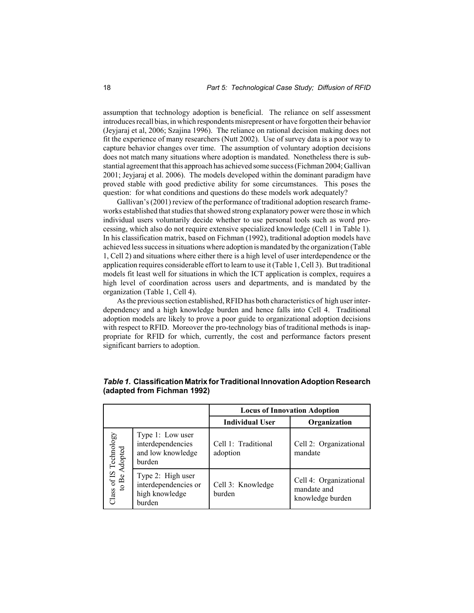assumption that technology adoption is beneficial. The reliance on self assessment introduces recall bias, in which respondents misrepresent or have forgotten their behavior (Jeyjaraj et al, 2006; Szajina 1996). The reliance on rational decision making does not fit the experience of many researchers (Nutt 2002). Use of survey data is a poor way to capture behavior changes over time. The assumption of voluntary adoption decisions does not match many situations where adoption is mandated. Nonetheless there is substantial agreement that this approach has achieved some success (Fichman 2004; Gallivan 2001; Jeyjaraj et al. 2006). The models developed within the dominant paradigm have proved stable with good predictive ability for some circumstances. This poses the question: for what conditions and questions do these models work adequately?

Gallivan's (2001) review of the performance of traditional adoption research frameworks established that studies that showed strong explanatory power were those in which individual users voluntarily decide whether to use personal tools such as word processing, which also do not require extensive specialized knowledge (Cell 1 in Table 1). In his classification matrix, based on Fichman (1992), traditional adoption models have achieved less success in situations where adoption is mandated by the organization (Table 1, Cell 2) and situations where either there is a high level of user interdependence or the application requires considerable effort to learn to use it (Table 1, Cell 3). But traditional models fit least well for situations in which the ICT application is complex, requires a high level of coordination across users and departments, and is mandated by the organization (Table 1, Cell 4).

As the previous section established, RFID has both characteristics of high user interdependency and a high knowledge burden and hence falls into Cell 4. Traditional adoption models are likely to prove a poor guide to organizational adoption decisions with respect to RFID. Moreover the pro-technology bias of traditional methods is inappropriate for RFID for which, currently, the cost and performance factors present significant barriers to adoption.

|                                         |                                                                       | <b>Locus of Innovation Adoption</b> |                                                           |
|-----------------------------------------|-----------------------------------------------------------------------|-------------------------------------|-----------------------------------------------------------|
|                                         |                                                                       | <b>Individual User</b>              | Organization                                              |
| Class of IS Technology<br>to Be Adopted | Type 1: Low user<br>interdependencies<br>and low knowledge<br>burden  | Cell 1: Traditional<br>adoption     | Cell 2: Organizational<br>mandate                         |
|                                         | Type 2: High user<br>interdependencies or<br>high knowledge<br>burden | Cell 3: Knowledge<br>burden         | Cell 4: Organizational<br>mandate and<br>knowledge burden |

*Table 1.* **Classification Matrix for Traditional Innovation Adoption Research (adapted from Fichman 1992)**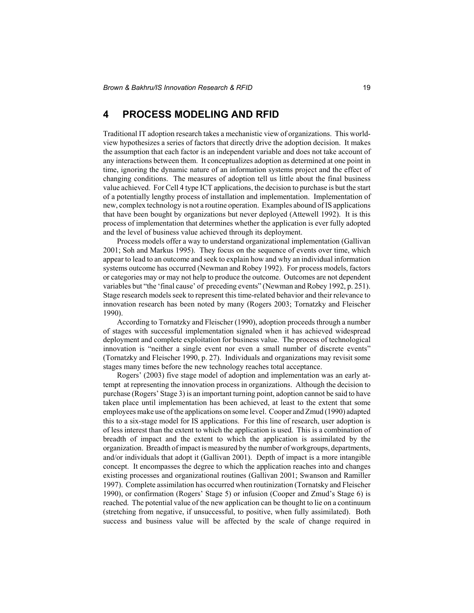## **4 PROCESS MODELING AND RFID**

Traditional IT adoption research takes a mechanistic view of organizations. This worldview hypothesizes a series of factors that directly drive the adoption decision. It makes the assumption that each factor is an independent variable and does not take account of any interactions between them. It conceptualizes adoption as determined at one point in time, ignoring the dynamic nature of an information systems project and the effect of changing conditions. The measures of adoption tell us little about the final business value achieved. For Cell 4 type ICT applications, the decision to purchase is but the start of a potentially lengthy process of installation and implementation. Implementation of new, complex technology is not a routine operation. Examples abound of IS applications that have been bought by organizations but never deployed (Attewell 1992). It is this process of implementation that determines whether the application is ever fully adopted and the level of business value achieved through its deployment.

Process models offer a way to understand organizational implementation (Gallivan 2001; Soh and Markus 1995). They focus on the sequence of events over time, which appear to lead to an outcome and seek to explain how and why an individual information systems outcome has occurred (Newman and Robey 1992). For process models, factors or categories may or may not help to produce the outcome. Outcomes are not dependent variables but "the 'final cause' of preceding events" (Newman and Robey 1992, p. 251). Stage research models seek to represent this time-related behavior and their relevance to innovation research has been noted by many (Rogers 2003; Tornatzky and Fleischer 1990).

According to Tornatzky and Fleischer (1990), adoption proceeds through a number of stages with successful implementation signaled when it has achieved widespread deployment and complete exploitation for business value. The process of technological innovation is "neither a single event nor even a small number of discrete events" (Tornatzky and Fleischer 1990, p. 27). Individuals and organizations may revisit some stages many times before the new technology reaches total acceptance.

Rogers' (2003) five stage model of adoption and implementation was an early attempt at representing the innovation process in organizations. Although the decision to purchase (Rogers' Stage 3) is an important turning point, adoption cannot be said to have taken place until implementation has been achieved, at least to the extent that some employees make use of the applications on some level. Cooper and Zmud (1990) adapted this to a six-stage model for IS applications. For this line of research, user adoption is of less interest than the extent to which the application is used. This is a combination of breadth of impact and the extent to which the application is assimilated by the organization. Breadth of impact is measured by the number of workgroups, departments, and/or individuals that adopt it (Gallivan 2001). Depth of impact is a more intangible concept. It encompasses the degree to which the application reaches into and changes existing processes and organizational routines (Gallivan 2001; Swanson and Ramiller 1997). Complete assimilation has occurred when routinization (Tornatsky and Fleischer 1990), or confirmation (Rogers' Stage 5) or infusion (Cooper and Zmud's Stage 6) is reached. The potential value of the new application can be thought to lie on a continuum (stretching from negative, if unsuccessful, to positive, when fully assimilated). Both success and business value will be affected by the scale of change required in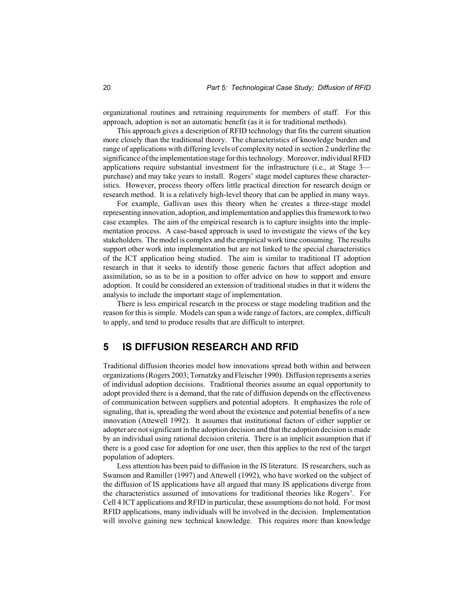organizational routines and retraining requirements for members of staff. For this approach, adoption is not an automatic benefit (as it is for traditional methods).

This approach gives a description of RFID technology that fits the current situation more closely than the traditional theory. The characteristics of knowledge burden and range of applications with differing levels of complexity noted in section 2 underline the significance of the implementation stage for this technology. Moreover, individual RFID applications require substantial investment for the infrastructure (i.e., at Stage 3 purchase) and may take years to install. Rogers' stage model captures these characteristics. However, process theory offers little practical direction for research design or research method. It is a relatively high-level theory that can be applied in many ways.

For example, Gallivan uses this theory when he creates a three-stage model representing innovation, adoption, and implementation and applies this framework to two case examples. The aim of the empirical research is to capture insights into the implementation process. A case-based approach is used to investigate the views of the key stakeholders. The model is complex and the empirical work time consuming. The results support other work into implementation but are not linked to the special characteristics of the ICT application being studied. The aim is similar to traditional IT adoption research in that it seeks to identify those generic factors that affect adoption and assimilation, so as to be in a position to offer advice on how to support and ensure adoption. It could be considered an extension of traditional studies in that it widens the analysis to include the important stage of implementation.

There is less empirical research in the process or stage modeling tradition and the reason for this is simple. Models can span a wide range of factors, are complex, difficult to apply, and tend to produce results that are difficult to interpret.

## **5 IS DIFFUSION RESEARCH AND RFID**

Traditional diffusion theories model how innovations spread both within and between organizations (Rogers 2003; Tornatzky and Fleischer 1990). Diffusion represents a series of individual adoption decisions. Traditional theories assume an equal opportunity to adopt provided there is a demand, that the rate of diffusion depends on the effectiveness of communication between suppliers and potential adopters. It emphasizes the role of signaling, that is, spreading the word about the existence and potential benefits of a new innovation (Attewell 1992). It assumes that institutional factors of either supplier or adopter are not significant in the adoption decision and that the adoption decision is made by an individual using rational decision criteria. There is an implicit assumption that if there is a good case for adoption for one user, then this applies to the rest of the target population of adopters.

Less attention has been paid to diffusion in the IS literature. IS researchers, such as Swanson and Ramiller (1997) and Attewell (1992), who have worked on the subject of the diffusion of IS applications have all argued that many IS applications diverge from the characteristics assumed of innovations for traditional theories like Rogers'. For Cell 4 ICT applications and RFID in particular, these assumptions do not hold. For most RFID applications, many individuals will be involved in the decision. Implementation will involve gaining new technical knowledge. This requires more than knowledge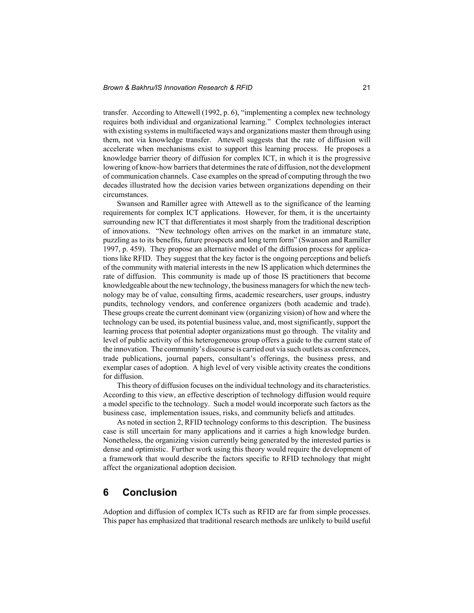transfer. According to Attewell (1992, p. 6), "implementing a complex new technology requires both individual and organizational learning." Complex technologies interact with existing systems in multifaceted ways and organizations master them through using them, not via knowledge transfer. Attewell suggests that the rate of diffusion will accelerate when mechanisms exist to support this learning process. He proposes a knowledge barrier theory of diffusion for complex ICT, in which it is the progressive lowering of know-how barriers that determines the rate of diffusion, not the development of communication channels. Case examples on the spread of computing through the two decades illustrated how the decision varies between organizations depending on their circumstances.

Swanson and Ramiller agree with Attewell as to the significance of the learning requirements for complex ICT applications. However, for them, it is the uncertainty surrounding new ICT that differentiates it most sharply from the traditional description of innovations. "New technology often arrives on the market in an immature state, puzzling as to its benefits, future prospects and long term form" (Swanson and Ramiller 1997, p. 459). They propose an alternative model of the diffusion process for applications like RFID. They suggest that the key factor is the ongoing perceptions and beliefs of the community with material interests in the new IS application which determines the rate of diffusion. This community is made up of those IS practitioners that become knowledgeable about the new technology, the business managers for which the new technology may be of value, consulting firms, academic researchers, user groups, industry pundits, technology vendors, and conference organizers (both academic and trade). These groups create the current dominant view (organizing vision) of how and where the technology can be used, its potential business value, and, most significantly, support the learning process that potential adopter organizations must go through. The vitality and level of public activity of this heterogeneous group offers a guide to the current state of the innovation. The community's discourse is carried out via such outlets as conferences, trade publications, journal papers, consultant's offerings, the business press, and exemplar cases of adoption. A high level of very visible activity creates the conditions for diffusion.

This theory of diffusion focuses on the individual technology and its characteristics. According to this view, an effective description of technology diffusion would require a model specific to the technology. Such a model would incorporate such factors as the business case, implementation issues, risks, and community beliefs and attitudes.

As noted in section 2, RFID technology conforms to this description. The business case is still uncertain for many applications and it carries a high knowledge burden. Nonetheless, the organizing vision currently being generated by the interested parties is dense and optimistic. Further work using this theory would require the development of a framework that would describe the factors specific to RFID technology that might affect the organizational adoption decision.

### **6 Conclusion**

Adoption and diffusion of complex ICTs such as RFID are far from simple processes. This paper has emphasized that traditional research methods are unlikely to build useful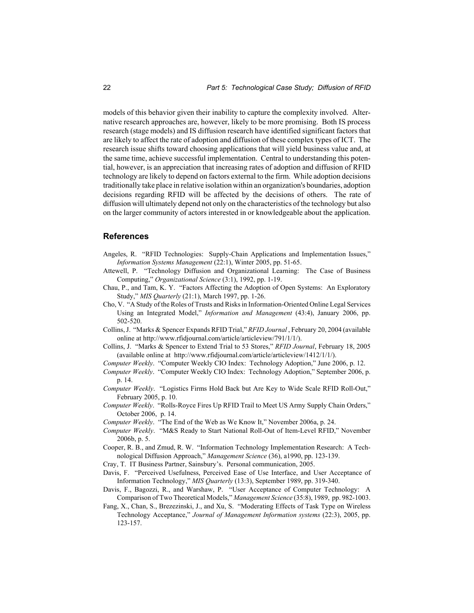models of this behavior given their inability to capture the complexity involved. Alternative research approaches are, however, likely to be more promising. Both IS process research (stage models) and IS diffusion research have identified significant factors that are likely to affect the rate of adoption and diffusion of these complex types of ICT. The research issue shifts toward choosing applications that will yield business value and, at the same time, achieve successful implementation. Central to understanding this potential, however, is an appreciation that increasing rates of adoption and diffusion of RFID technology are likely to depend on factors external to the firm. While adoption decisions traditionally take place in relative isolation within an organization's boundaries, adoption decisions regarding RFID will be affected by the decisions of others. The rate of diffusion will ultimately depend not only on the characteristics of the technology but also on the larger community of actors interested in or knowledgeable about the application.

#### **References**

- Angeles, R. "RFID Technologies: Supply-Chain Applications and Implementation Issues," *Information Systems Management* (22:1), Winter 2005, pp. 51-65.
- Attewell, P. "Technology Diffusion and Organizational Learning: The Case of Business Computing," *Organizational Science* (3:1), 1992, pp. 1-19.
- Chau, P., and Tam, K. Y. "Factors Affecting the Adoption of Open Systems: An Exploratory Study," *MIS Quarterly* (21:1), March 1997, pp. 1-26.
- Cho, V. "A Study of the Roles of Trusts and Risks in Information-Oriented Online Legal Services Using an Integrated Model," *Information and Management* (43:4), January 2006, pp. 502-520.
- Collins, J. "Marks & Spencer Expands RFID Trial," *RFID Journal* , February 20, 2004 (available online at http://www.rfidjournal.com/article/articleview/791/1/1/).
- Collins, J. "Marks & Spencer to Extend Trial to 53 Stores," *RFID Journal*, February 18, 2005 (available online at http://www.rfidjournal.com/article/articleview/1412/1/1/).
- *Computer Weekly*. "Computer Weekly CIO Index: Technology Adoption," June 2006, p. 12.
- *Computer Weekly*. "Computer Weekly CIO Index: Technology Adoption," September 2006, p. p. 14.
- *Computer Weekly*. "Logistics Firms Hold Back but Are Key to Wide Scale RFID Roll-Out," February 2005, p. 10.
- *Computer Weekly*. "Rolls-Royce Fires Up RFID Trail to Meet US Army Supply Chain Orders," October 2006, p. 14.
- *Computer Weekly*. "The End of the Web as We Know It," November 2006a, p. 24.
- *Computer Weekly*. "M&S Ready to Start National Roll-Out of Item-Level RFID," November 2006b, p. 5.
- Cooper, R. B., and Zmud, R. W. "Information Technology Implementation Research: A Technological Diffusion Approach," *Management Science* (36), a1990, pp. 123-139.
- Cray, T. IT Business Partner, Sainsbury's. Personal communication, 2005.
- Davis, F. "Perceived Usefulness, Perceived Ease of Use Interface, and User Acceptance of Information Technology," *MIS Quarterly* (13:3), September 1989, pp. 319-340.
- Davis, F., Bagozzi, R., and Warshaw, P. "User Acceptance of Computer Technology: A Comparison of Two Theoretical Models," *Management Science* (35:8), 1989, pp. 982-1003.
- Fang, X., Chan, S., Brezezinski, J., and Xu, S. "Moderating Effects of Task Type on Wireless Technology Acceptance," *Journal of Management Information systems* (22:3), 2005, pp. 123-157.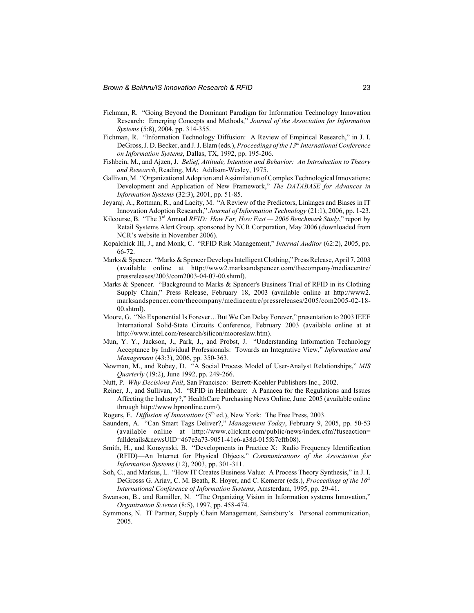- Fichman, R. "Going Beyond the Dominant Paradigm for Information Technology Innovation Research: Emerging Concepts and Methods," *Journal of the Association for Information Systems* (5:8), 2004, pp. 314-355.
- Fichman, R. "Information Technology Diffusion: A Review of Empirical Research," in J. I. DeGross, J. D. Becker, and J. J. Elam (eds.), *Proceedings of the 13th International Conference on Information Systems*, Dallas, TX, 1992, pp. 195-206.
- Fishbein, M., and Ajzen, J. *Belief, Attitude, Intention and Behavior: An Introduction to Theory and Research*, Reading, MA: Addison-Wesley, 1975.
- Gallivan, M. "Organizational Adoption and Assimilation of Complex Technological Innovations: Development and Application of New Framework," *The DATABASE for Advances in Information Systems* (32:3), 2001, pp. 51-85.
- Jeyaraj, A., Rottman, R., and Lacity, M. "A Review of the Predictors, Linkages and Biases in IT Innovation Adoption Research," *Journal of Information Technology* (21:1), 2006, pp. 1-23.
- Kilcourse, B. "The 3rd Annual *RFID: How Far, How Fast 2006 Benchmark Study*," report by Retail Systems Alert Group, sponsored by NCR Corporation, May 2006 (downloaded from NCR's website in November 2006).
- Kopalchick III, J., and Monk, C. "RFID Risk Management," *Internal Auditor* (62:2), 2005, pp. 66-72.
- Marks & Spencer. "Marks & Spencer Develops Intelligent Clothing," Press Release, April 7, 2003 (available online at http://www2.marksandspencer.com/thecompany/mediacentre/ pressreleases/2003/com2003-04-07-00.shtml).
- Marks & Spencer. "Background to Marks & Spencer's Business Trial of RFID in its Clothing Supply Chain," Press Release, February 18, 2003 (available online at http://www2. marksandspencer.com/thecompany/mediacentre/pressreleases/2005/com2005-02-18-  $00 \text{ shtml}$
- Moore, G. "No Exponential Is Forever…But We Can Delay Forever," presentation to 2003 IEEE International Solid-State Circuits Conference, February 2003 (available online at at http://www.intel.com/research/silicon/mooreslaw.htm).
- Mun, Y. Y., Jackson, J., Park, J., and Probst, J. "Understanding Information Technology Acceptance by Individual Professionals: Towards an Integrative View," *Information and Management* (43:3), 2006, pp. 350-363.
- Newman, M., and Robey, D. "A Social Process Model of User-Analyst Relationships," *MIS Quarterly* (19:2), June 1992, pp. 249-266.
- Nutt, P. *Why Decisions Fail*, San Francisco: Berrett-Koehler Publishers Inc., 2002.
- Reiner, J., and Sullivan, M. "RFID in Healthcare: A Panacea for the Regulations and Issues Affecting the Industry?," HealthCare Purchasing News Online, June 2005 (available online through http://www.hpnonline.com/).
- Rogers, E. *Diffusion of Innovations* (5<sup>th</sup> ed.), New York: The Free Press, 2003.
- Saunders, A. "Can Smart Tags Deliver?," *Management Today*, February 9, 2005, pp. 50-53 (available online at http://www.clickmt.com/public/news/index.cfm?fuseaction= fulldetails&newsUID=467e3a73-9051-41e6-a38d-015f67cffb08).
- Smith, H., and Konsynski, B. "Developments in Practice X: Radio Frequency Identification (RFID)—An Internet for Physical Objects," *Communications of the Association for Information Systems* (12), 2003, pp. 301-311.
- Soh, C., and Markus, L. "How IT Creates Business Value: A Process Theory Synthesis," in J. I. DeGrosss G. Ariav, C. M. Beath, R. Hoyer, and C. Kemerer (eds.), *Proceedings of the 16th International Conference of Information Systems*, Amsterdam, 1995, pp. 29-41.
- Swanson, B., and Ramiller, N. "The Organizing Vision in Information systems Innovation," *Organization Science* (8:5), 1997, pp. 458-474.
- Symmons, N. IT Partner, Supply Chain Management, Sainsbury's. Personal communication, 2005.